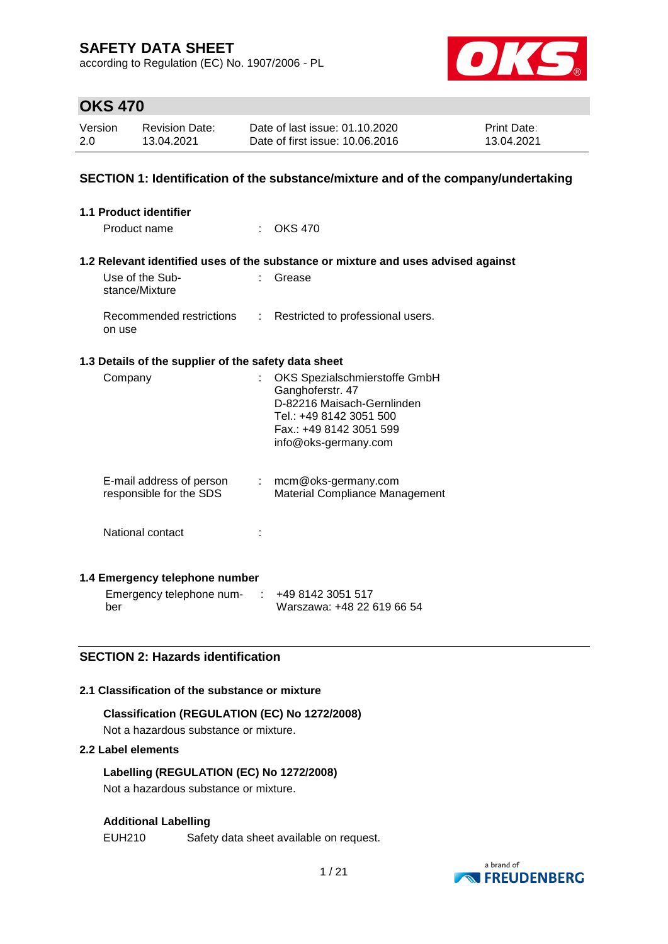according to Regulation (EC) No. 1907/2006 - PL



## **OKS 470**

| Version | <b>Revision Date:</b> | Date of last issue: 01.10.2020  | <b>Print Date:</b> |
|---------|-----------------------|---------------------------------|--------------------|
| 2.0     | 13.04.2021            | Date of first issue: 10.06.2016 | 13.04.2021         |

### **SECTION 1: Identification of the substance/mixture and of the company/undertaking**

| <b>1.1 Product identifier</b>                        |                                                                                                                                                               |
|------------------------------------------------------|---------------------------------------------------------------------------------------------------------------------------------------------------------------|
| Product name                                         | $:$ OKS 470                                                                                                                                                   |
|                                                      |                                                                                                                                                               |
|                                                      | 1.2 Relevant identified uses of the substance or mixture and uses advised against                                                                             |
| Use of the Sub-<br>stance/Mixture                    | Grease                                                                                                                                                        |
| Recommended restrictions<br>on use                   | : Restricted to professional users.                                                                                                                           |
| 1.3 Details of the supplier of the safety data sheet |                                                                                                                                                               |
| Company                                              | OKS Spezialschmierstoffe GmbH<br>Ganghoferstr. 47<br>D-82216 Maisach-Gernlinden<br>Tel.: +49 8142 3051 500<br>Fax.: +49 8142 3051 599<br>info@oks-germany.com |
| E-mail address of person<br>responsible for the SDS  | $:$ mcm@oks-germany.com<br>Material Compliance Management                                                                                                     |
| National contact                                     |                                                                                                                                                               |
| 1.4 Emergency telephone number                       |                                                                                                                                                               |
| Emergency telephone num- :                           | +49 8142 3051 517                                                                                                                                             |

### **SECTION 2: Hazards identification**

#### **2.1 Classification of the substance or mixture**

# **Classification (REGULATION (EC) No 1272/2008)**

Not a hazardous substance or mixture.

### **2.2 Label elements**

ber

**Labelling (REGULATION (EC) No 1272/2008)** Not a hazardous substance or mixture.

### **Additional Labelling**

EUH210 Safety data sheet available on request.



Warszawa: +48 22 619 66 54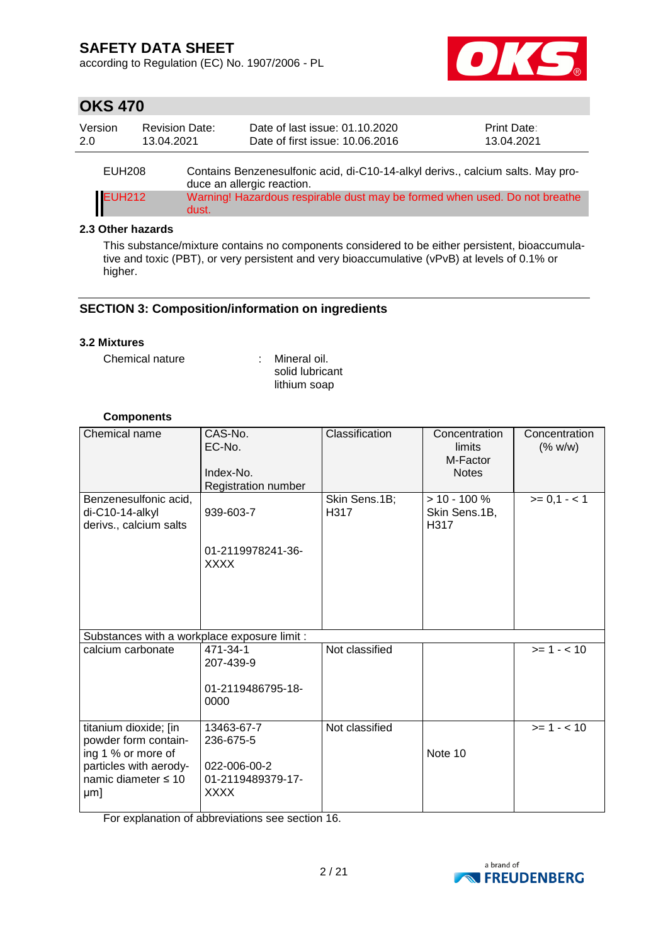according to Regulation (EC) No. 1907/2006 - PL



## **OKS 470**

| Version | <b>Revision Date:</b> | Date of last issue: 01.10.2020                                                  | <b>Print Date:</b> |
|---------|-----------------------|---------------------------------------------------------------------------------|--------------------|
| 2.0     | 13.04.2021            | Date of first issue: 10.06.2016                                                 | 13.04.2021         |
| EUH208  |                       | Contains Benzenesulfonic acid, di-C10-14-alkyl derivs., calcium salts. May pro- |                    |

duce an allergic reaction. EUH212 Warning! Hazardous respirable dust may be formed when used. Do not breathe dust.

### **2.3 Other hazards**

This substance/mixture contains no components considered to be either persistent, bioaccumulative and toxic (PBT), or very persistent and very bioaccumulative (vPvB) at levels of 0.1% or higher.

### **SECTION 3: Composition/information on ingredients**

#### **3.2 Mixtures**

Chemical nature : Mineral oil.

solid lubricant lithium soap

### **Components**

| Chemical name                                                                                                                    | CAS-No.<br>EC-No.<br>Index-No.<br>Registration number                       | Classification        | Concentration<br>limits<br>M-Factor<br><b>Notes</b> | Concentration<br>(% w/w) |
|----------------------------------------------------------------------------------------------------------------------------------|-----------------------------------------------------------------------------|-----------------------|-----------------------------------------------------|--------------------------|
| Benzenesulfonic acid,<br>di-C10-14-alkyl<br>derivs., calcium salts                                                               | 939-603-7<br>01-2119978241-36-<br><b>XXXX</b>                               | Skin Sens.1B;<br>H317 | $> 10 - 100 \%$<br>Skin Sens.1B,<br>H317            | $>= 0,1 - < 1$           |
| Substances with a workplace exposure limit :                                                                                     |                                                                             |                       |                                                     |                          |
| calcium carbonate                                                                                                                | 471-34-1<br>207-439-9<br>01-2119486795-18-<br>0000                          | Not classified        |                                                     | $>= 1 - 10$              |
| titanium dioxide; [in<br>powder form contain-<br>ing 1 % or more of<br>particles with aerody-<br>namic diameter $\leq 10$<br>µm] | 13463-67-7<br>236-675-5<br>022-006-00-2<br>01-2119489379-17-<br><b>XXXX</b> | Not classified        | Note 10                                             | $>= 1 - 10$              |

For explanation of abbreviations see section 16.

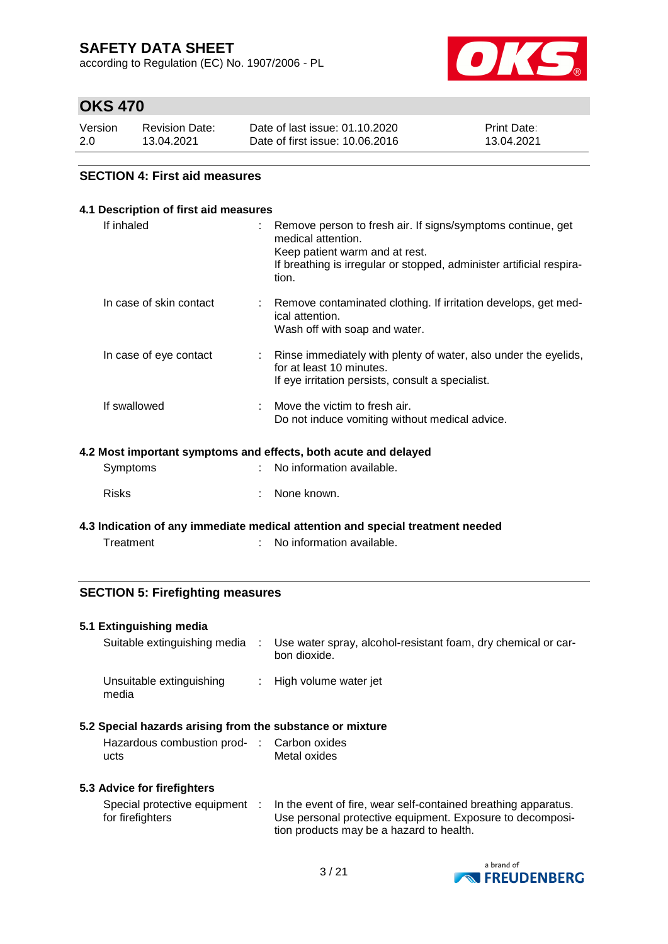according to Regulation (EC) No. 1907/2006 - PL



## **OKS 470**

| Version | <b>Revision Date:</b> | Date of last issue: 01.10.2020  | <b>Print Date:</b> |
|---------|-----------------------|---------------------------------|--------------------|
| 2.0     | 13.04.2021            | Date of first issue: 10.06.2016 | 13.04.2021         |

### **SECTION 4: First aid measures**

| 4.1 Description of first aid measures                           |  |                                                                                                                                                                                                      |  |  |  |  |
|-----------------------------------------------------------------|--|------------------------------------------------------------------------------------------------------------------------------------------------------------------------------------------------------|--|--|--|--|
| If inhaled                                                      |  | Remove person to fresh air. If signs/symptoms continue, get<br>medical attention.<br>Keep patient warm and at rest.<br>If breathing is irregular or stopped, administer artificial respira-<br>tion. |  |  |  |  |
| In case of skin contact                                         |  | : Remove contaminated clothing. If irritation develops, get med-<br>ical attention.<br>Wash off with soap and water.                                                                                 |  |  |  |  |
| In case of eye contact                                          |  | Rinse immediately with plenty of water, also under the eyelids,<br>for at least 10 minutes.<br>If eye irritation persists, consult a specialist.                                                     |  |  |  |  |
| If swallowed                                                    |  | Move the victim to fresh air.<br>Do not induce vomiting without medical advice.                                                                                                                      |  |  |  |  |
| 4.2 Most important symptoms and effects, both acute and delayed |  |                                                                                                                                                                                                      |  |  |  |  |
| Symptoms                                                        |  | No information available.                                                                                                                                                                            |  |  |  |  |
| <b>Risks</b>                                                    |  | None known.                                                                                                                                                                                          |  |  |  |  |

**4.3 Indication of any immediate medical attention and special treatment needed** Treatment : No information available.

### **SECTION 5: Firefighting measures**

#### **5.1 Extinguishing media**

| Suitable extinguishing media      | Use water spray, alcohol-resistant foam, dry chemical or car-<br>bon dioxide. |
|-----------------------------------|-------------------------------------------------------------------------------|
| Unsuitable extinguishing<br>media | : High volume water jet                                                       |

### **5.2 Special hazards arising from the substance or mixture**

| Hazardous combustion prod- | : Carbon oxides |
|----------------------------|-----------------|
| ucts                       | Metal oxides    |

### **5.3 Advice for firefighters**

| Special protective equipment | In the event of fire, wear self-contained breathing apparatus. |
|------------------------------|----------------------------------------------------------------|
| for firefighters             | Use personal protective equipment. Exposure to decomposi-      |
|                              | tion products may be a hazard to health.                       |

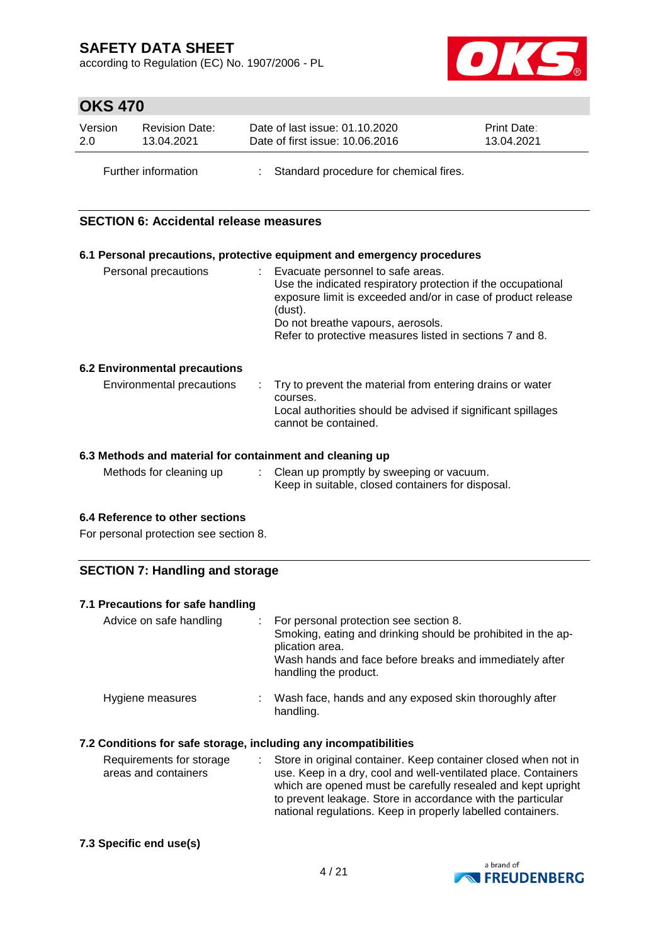according to Regulation (EC) No. 1907/2006 - PL



# **OKS 470**

| Version | <b>Revision Date:</b> | Date of last issue: 01.10.2020           | <b>Print Date:</b> |
|---------|-----------------------|------------------------------------------|--------------------|
| 2.0     | 13.04.2021            | Date of first issue: 10.06.2016          | 13.04.2021         |
|         | Further information   | : Standard procedure for chemical fires. |                    |

### **SECTION 6: Accidental release measures**

|                                      | 6.1 Personal precautions, protective equipment and emergency procedures                                                                                                                                                                                                         |
|--------------------------------------|---------------------------------------------------------------------------------------------------------------------------------------------------------------------------------------------------------------------------------------------------------------------------------|
| Personal precautions                 | : Evacuate personnel to safe areas.<br>Use the indicated respiratory protection if the occupational<br>exposure limit is exceeded and/or in case of product release<br>(dust).<br>Do not breathe vapours, aerosols.<br>Refer to protective measures listed in sections 7 and 8. |
| <b>6.2 Environmental precautions</b> |                                                                                                                                                                                                                                                                                 |
| Environmental precautions            | $\therefore$ Try to prevent the material from entering drains or water<br>courses.<br>Local authorities should be advised if significant spillages<br>cannot be contained.                                                                                                      |

#### **6.3 Methods and material for containment and cleaning up**

| Methods for cleaning up | Clean up promptly by sweeping or vacuum.          |
|-------------------------|---------------------------------------------------|
|                         | Keep in suitable, closed containers for disposal. |

### **6.4 Reference to other sections**

For personal protection see section 8.

### **SECTION 7: Handling and storage**

#### **7.1 Precautions for safe handling**

| Advice on safe handling | For personal protection see section 8.<br>Smoking, eating and drinking should be prohibited in the ap-<br>plication area.<br>Wash hands and face before breaks and immediately after<br>handling the product. |
|-------------------------|---------------------------------------------------------------------------------------------------------------------------------------------------------------------------------------------------------------|
| Hygiene measures        | Wash face, hands and any exposed skin thoroughly after<br>handling.                                                                                                                                           |

### **7.2 Conditions for safe storage, including any incompatibilities**

| Requirements for storage<br>areas and containers | : Store in original container. Keep container closed when not in<br>use. Keep in a dry, cool and well-ventilated place. Containers<br>which are opened must be carefully resealed and kept upright<br>to prevent leakage. Store in accordance with the particular<br>national regulations. Keep in properly labelled containers. |
|--------------------------------------------------|----------------------------------------------------------------------------------------------------------------------------------------------------------------------------------------------------------------------------------------------------------------------------------------------------------------------------------|
|                                                  |                                                                                                                                                                                                                                                                                                                                  |

#### **7.3 Specific end use(s)**

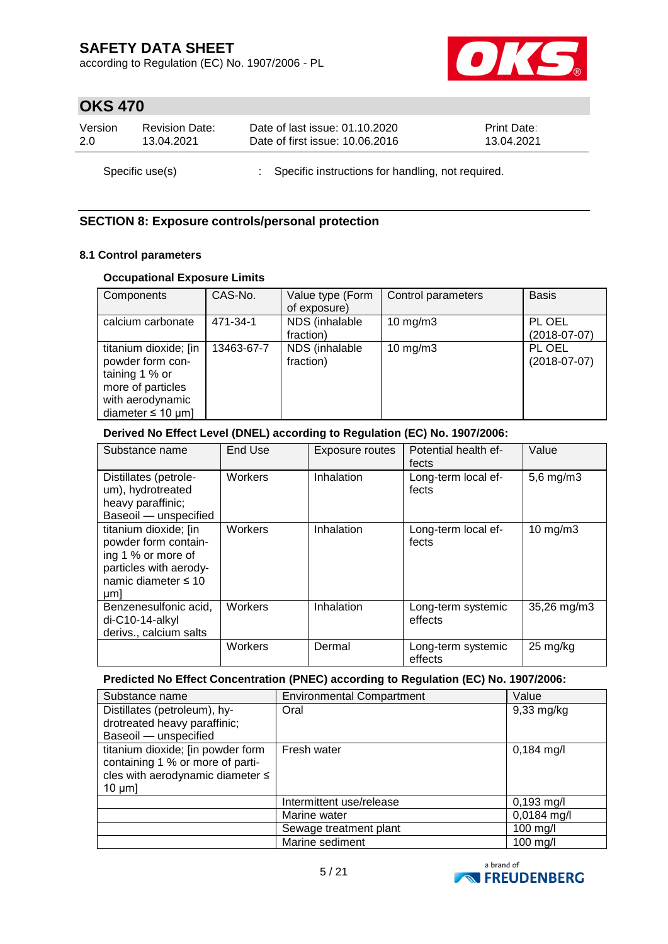according to Regulation (EC) No. 1907/2006 - PL



# **OKS 470**

| Version         | <b>Revision Date:</b> | Date of last issue: 01.10.2020                      | <b>Print Date:</b> |
|-----------------|-----------------------|-----------------------------------------------------|--------------------|
| 2.0             | 13.04.2021            | Date of first issue: 10.06.2016                     | 13.04.2021         |
| Specific use(s) |                       | : Specific instructions for handling, not required. |                    |

### **SECTION 8: Exposure controls/personal protection**

### **8.1 Control parameters**

### **Occupational Exposure Limits**

| Components             | CAS-No.    | Value type (Form | Control parameters | <b>Basis</b>   |
|------------------------|------------|------------------|--------------------|----------------|
|                        |            | of exposure)     |                    |                |
| calcium carbonate      | 471-34-1   | NDS (inhalable   | 10 $mg/m3$         | PL OEL         |
|                        |            | fraction)        |                    | $(2018-07-07)$ |
| titanium dioxide; [in  | 13463-67-7 | NDS (inhalable   | $10$ mg/m $3$      | PL OEL         |
| powder form con-       |            | fraction)        |                    | $(2018-07-07)$ |
| taining 1 % or         |            |                  |                    |                |
| more of particles      |            |                  |                    |                |
| with aerodynamic       |            |                  |                    |                |
| diameter $\leq 10$ µm] |            |                  |                    |                |

### **Derived No Effect Level (DNEL) according to Regulation (EC) No. 1907/2006:**

| Substance name                                                                                                                   | End Use | <b>Exposure routes</b> | Potential health ef-<br>fects | Value              |
|----------------------------------------------------------------------------------------------------------------------------------|---------|------------------------|-------------------------------|--------------------|
| Distillates (petrole-<br>um), hydrotreated<br>heavy paraffinic;<br>Baseoil - unspecified                                         | Workers | Inhalation             | Long-term local ef-<br>fects  | $5,6$ mg/m $3$     |
| titanium dioxide; [in<br>powder form contain-<br>ing 1 % or more of<br>particles with aerody-<br>namic diameter $\leq 10$<br>µm] | Workers | Inhalation             | Long-term local ef-<br>fects  | $10$ mg/m $3$      |
| Benzenesulfonic acid,<br>di-C10-14-alkyl<br>derivs., calcium salts                                                               | Workers | Inhalation             | Long-term systemic<br>effects | 35,26 mg/m3        |
|                                                                                                                                  | Workers | Dermal                 | Long-term systemic<br>effects | $25 \text{ mg/kg}$ |

#### **Predicted No Effect Concentration (PNEC) according to Regulation (EC) No. 1907/2006:**

| Substance name                                                                                                            | <b>Environmental Compartment</b> | Value                |
|---------------------------------------------------------------------------------------------------------------------------|----------------------------------|----------------------|
| Distillates (petroleum), hy-                                                                                              | Oral                             | $9,33 \text{ mg/kg}$ |
| drotreated heavy paraffinic;                                                                                              |                                  |                      |
| Baseoil - unspecified                                                                                                     |                                  |                      |
| titanium dioxide; [in powder form<br>containing 1 % or more of parti-<br>cles with aerodynamic diameter ≤<br>$10 \mu m$ ] | Fresh water                      | $0,184$ mg/l         |
|                                                                                                                           | Intermittent use/release         | $0,193$ mg/l         |
|                                                                                                                           | Marine water                     | $0,0184$ mg/l        |
|                                                                                                                           | Sewage treatment plant           | $100$ mg/l           |
|                                                                                                                           | Marine sediment                  | $100$ mg/l           |

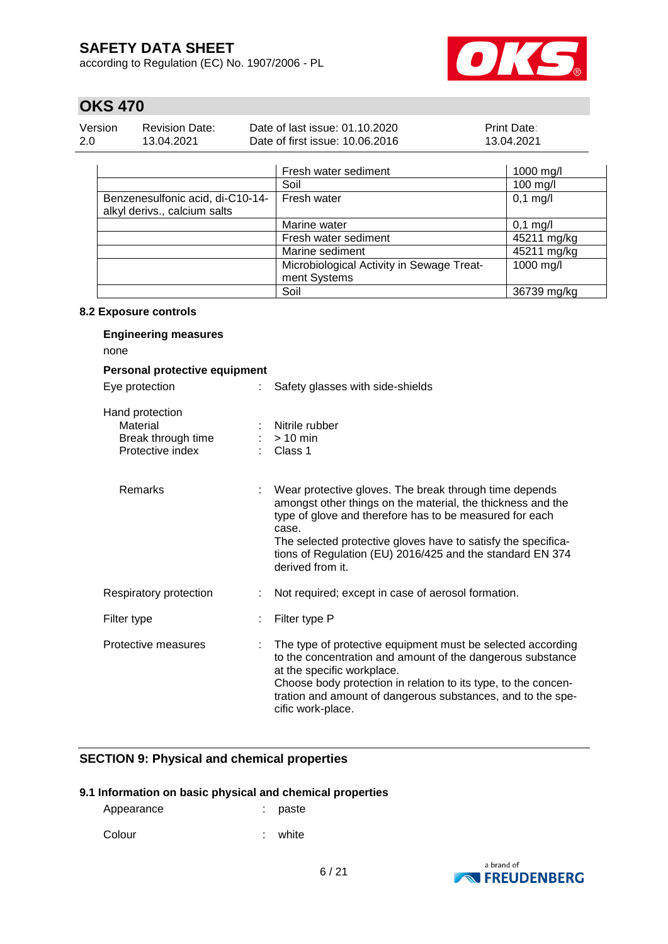according to Regulation (EC) No. 1907/2006 - PL



# **OKS 470**

| Version | Revision Date: | Date of last issue: 01.10.2020  | <b>Print Date:</b> |
|---------|----------------|---------------------------------|--------------------|
| -2.0    | 13.04.2021     | Date of first issue: 10.06.2016 | 13.04.2021         |

|                                                                  | Fresh water sediment                                      | 1000 mg/l          |
|------------------------------------------------------------------|-----------------------------------------------------------|--------------------|
|                                                                  | Soil                                                      | 100 mg/l           |
| Benzenesulfonic acid, di-C10-14-<br>alkyl derivs., calcium salts | Fresh water                                               | $0,1$ mg/l         |
|                                                                  | Marine water                                              | $0,1 \text{ mg/l}$ |
|                                                                  | Fresh water sediment                                      | 45211 mg/kg        |
|                                                                  | Marine sediment                                           | 45211 mg/kg        |
|                                                                  | Microbiological Activity in Sewage Treat-<br>ment Systems | 1000 mg/l          |
|                                                                  | Soil                                                      | 36739 mg/kg        |

#### **8.2 Exposure controls**

| <b>Engineering measures</b><br>none                                   |   |                                                                                                                                                                                                                                                                                                                                             |
|-----------------------------------------------------------------------|---|---------------------------------------------------------------------------------------------------------------------------------------------------------------------------------------------------------------------------------------------------------------------------------------------------------------------------------------------|
| Personal protective equipment                                         |   |                                                                                                                                                                                                                                                                                                                                             |
| Eye protection                                                        | ÷ | Safety glasses with side-shields                                                                                                                                                                                                                                                                                                            |
| Hand protection<br>Material<br>Break through time<br>Protective index |   | Nitrile rubber<br>$>10$ min<br>Class 1                                                                                                                                                                                                                                                                                                      |
| Remarks                                                               |   | Wear protective gloves. The break through time depends<br>amongst other things on the material, the thickness and the<br>type of glove and therefore has to be measured for each<br>case.<br>The selected protective gloves have to satisfy the specifica-<br>tions of Regulation (EU) 2016/425 and the standard EN 374<br>derived from it. |
| Respiratory protection                                                |   | Not required; except in case of aerosol formation.                                                                                                                                                                                                                                                                                          |
| Filter type                                                           |   | Filter type P                                                                                                                                                                                                                                                                                                                               |
| Protective measures                                                   |   | The type of protective equipment must be selected according<br>to the concentration and amount of the dangerous substance<br>at the specific workplace.<br>Choose body protection in relation to its type, to the concen-<br>tration and amount of dangerous substances, and to the spe-<br>cific work-place.                               |

### **SECTION 9: Physical and chemical properties**

#### **9.1 Information on basic physical and chemical properties**

| Appearance | : paste |
|------------|---------|
|            |         |

Colour : white :

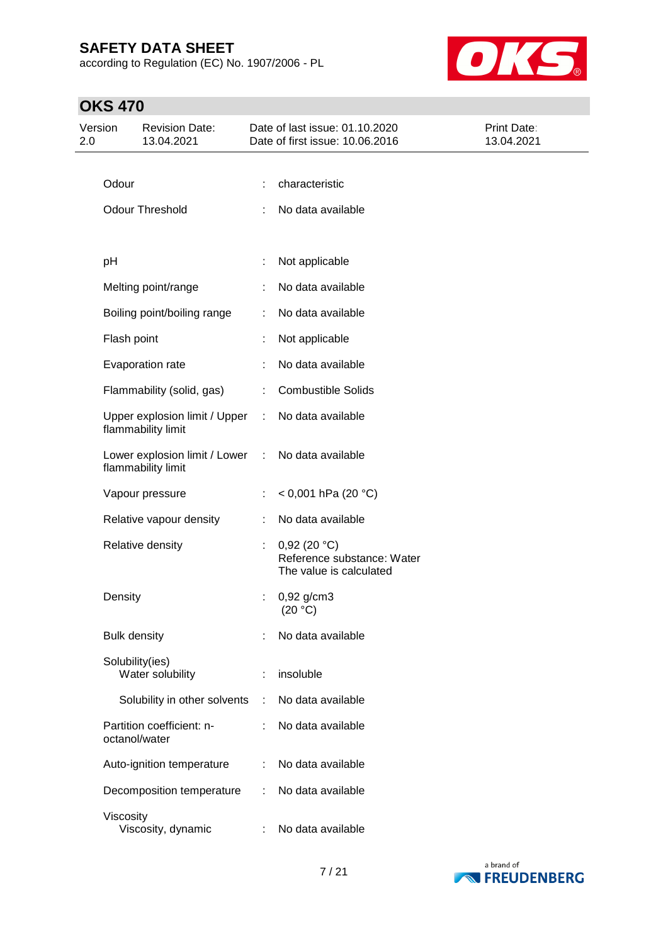according to Regulation (EC) No. 1907/2006 - PL



# **OKS 470**

| Version<br>2.0 |                     | <b>Revision Date:</b><br>13.04.2021                 |                      | Date of last issue: 01.10.2020<br>Date of first issue: 10.06.2016    | Print Date:<br>13.04.2021 |
|----------------|---------------------|-----------------------------------------------------|----------------------|----------------------------------------------------------------------|---------------------------|
|                |                     |                                                     |                      |                                                                      |                           |
|                | Odour               |                                                     |                      | characteristic                                                       |                           |
|                |                     | <b>Odour Threshold</b>                              |                      | No data available                                                    |                           |
|                |                     |                                                     |                      |                                                                      |                           |
|                | pH                  |                                                     |                      | Not applicable                                                       |                           |
|                |                     | Melting point/range                                 |                      | No data available                                                    |                           |
|                |                     | Boiling point/boiling range                         |                      | No data available                                                    |                           |
|                | Flash point         |                                                     |                      | Not applicable                                                       |                           |
|                |                     | Evaporation rate                                    |                      | No data available                                                    |                           |
|                |                     | Flammability (solid, gas)                           |                      | <b>Combustible Solids</b>                                            |                           |
|                |                     | Upper explosion limit / Upper<br>flammability limit | ÷                    | No data available                                                    |                           |
|                |                     | Lower explosion limit / Lower<br>flammability limit | $\ddot{\phantom{a}}$ | No data available                                                    |                           |
|                |                     | Vapour pressure                                     |                      | < 0,001 hPa (20 °C)                                                  |                           |
|                |                     | Relative vapour density                             |                      | No data available                                                    |                           |
|                |                     | Relative density                                    |                      | 0,92(20 °C)<br>Reference substance: Water<br>The value is calculated |                           |
|                | Density             |                                                     | ÷                    | $0,92$ g/cm3<br>(20 °C)                                              |                           |
|                | <b>Bulk density</b> |                                                     |                      | No data available                                                    |                           |
|                | Solubility(ies)     | Water solubility                                    |                      | insoluble                                                            |                           |
|                |                     | Solubility in other solvents                        |                      | No data available                                                    |                           |
|                | octanol/water       | Partition coefficient: n-                           |                      | No data available                                                    |                           |
|                |                     | Auto-ignition temperature                           | ÷                    | No data available                                                    |                           |
|                |                     | Decomposition temperature                           |                      | No data available                                                    |                           |
|                | Viscosity           | Viscosity, dynamic                                  |                      | No data available                                                    |                           |

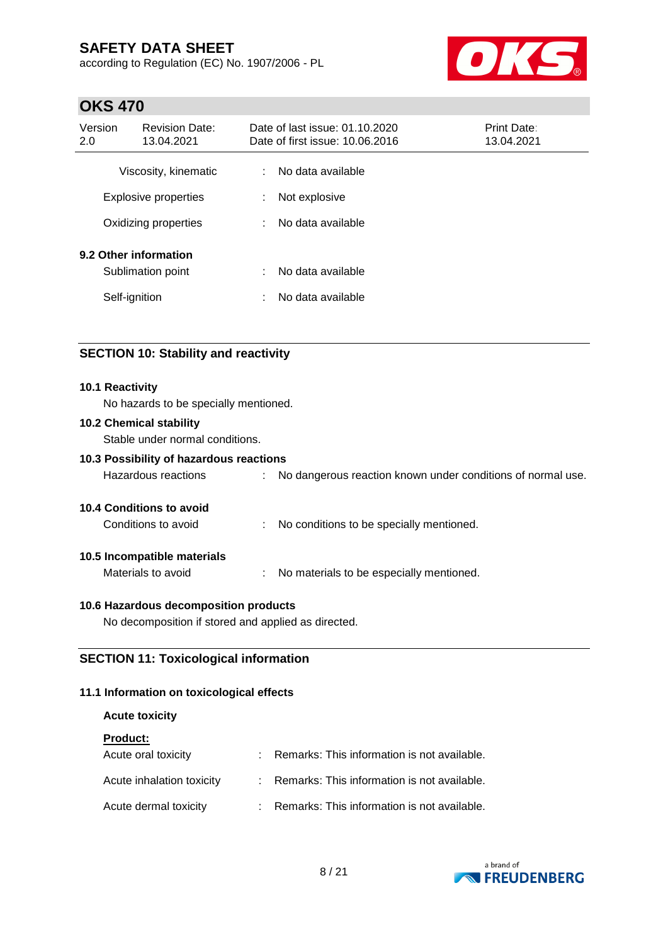according to Regulation (EC) No. 1907/2006 - PL



## **OKS 470**

| Version<br>2.0 | <b>Revision Date:</b><br>13.04.2021        |        | Date of last issue: 01.10.2020<br>Date of first issue: 10.06.2016 | Print Date:<br>13.04.2021 |
|----------------|--------------------------------------------|--------|-------------------------------------------------------------------|---------------------------|
|                | Viscosity, kinematic                       | ÷.     | No data available                                                 |                           |
|                | <b>Explosive properties</b>                | ÷      | Not explosive                                                     |                           |
|                | Oxidizing properties                       | ÷      | No data available                                                 |                           |
| Self-ignition  | 9.2 Other information<br>Sublimation point | ÷<br>÷ | No data available<br>No data available                            |                           |

## **SECTION 10: Stability and reactivity**

#### **10.1 Reactivity**

No hazards to be specially mentioned.

#### **10.2 Chemical stability**

Stable under normal conditions.

### **10.3 Possibility of hazardous reactions**

| No dangerous reaction known under conditions of normal use.<br>Hazardous reactions |
|------------------------------------------------------------------------------------|
|------------------------------------------------------------------------------------|

### **10.4 Conditions to avoid**

Conditions to avoid : No conditions to be specially mentioned.

#### **10.5 Incompatible materials**

Materials to avoid : No materials to be especially mentioned.

#### **10.6 Hazardous decomposition products**

No decomposition if stored and applied as directed.

## **SECTION 11: Toxicological information**

### **11.1 Information on toxicological effects**

#### **Acute toxicity**

| <b>Product:</b>           |                                               |
|---------------------------|-----------------------------------------------|
| Acute oral toxicity       | Remarks: This information is not available.   |
| Acute inhalation toxicity | : Remarks: This information is not available. |
| Acute dermal toxicity     | : Remarks: This information is not available. |

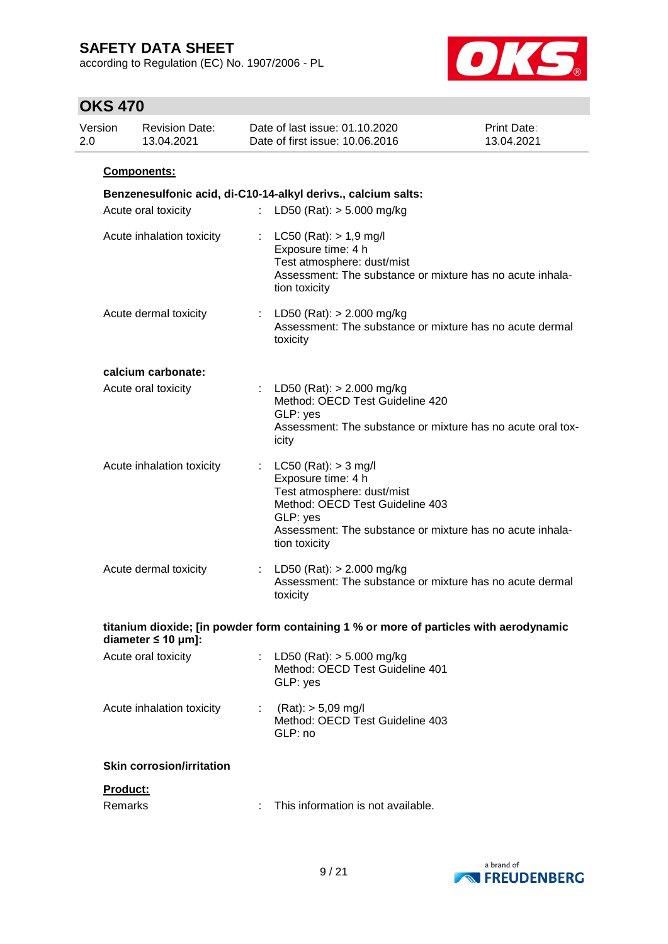according to Regulation (EC) No. 1907/2006 - PL



# **OKS 470**

| Version<br>2.0 |          | <b>Revision Date:</b><br>13.04.2021 |   | Date of last issue: 01.10.2020<br>Date of first issue: 10.06.2016                                                                                                                                       | Print Date:<br>13.04.2021 |
|----------------|----------|-------------------------------------|---|---------------------------------------------------------------------------------------------------------------------------------------------------------------------------------------------------------|---------------------------|
|                |          | Components:                         |   |                                                                                                                                                                                                         |                           |
|                |          |                                     |   | Benzenesulfonic acid, di-C10-14-alkyl derivs., calcium salts:                                                                                                                                           |                           |
|                |          | Acute oral toxicity                 |   | LD50 (Rat): $> 5.000$ mg/kg                                                                                                                                                                             |                           |
|                |          | Acute inhalation toxicity           |   | : $LC50$ (Rat): $> 1.9$ mg/l<br>Exposure time: 4 h<br>Test atmosphere: dust/mist<br>Assessment: The substance or mixture has no acute inhala-<br>tion toxicity                                          |                           |
|                |          | Acute dermal toxicity               |   | : LD50 (Rat): $> 2.000$ mg/kg<br>Assessment: The substance or mixture has no acute dermal<br>toxicity                                                                                                   |                           |
|                |          | calcium carbonate:                  |   |                                                                                                                                                                                                         |                           |
|                |          | Acute oral toxicity                 |   | : LD50 (Rat): $> 2.000$ mg/kg<br>Method: OECD Test Guideline 420<br>GLP: yes<br>Assessment: The substance or mixture has no acute oral tox-<br>icity                                                    |                           |
|                |          | Acute inhalation toxicity           |   | LC50 (Rat): $>$ 3 mg/l<br>Exposure time: 4 h<br>Test atmosphere: dust/mist<br>Method: OECD Test Guideline 403<br>GLP: yes<br>Assessment: The substance or mixture has no acute inhala-<br>tion toxicity |                           |
|                |          | Acute dermal toxicity               |   | : LD50 (Rat): $> 2.000$ mg/kg<br>Assessment: The substance or mixture has no acute dermal<br>toxicity                                                                                                   |                           |
|                |          | diameter $\leq 10$ µm]:             |   | titanium dioxide; [in powder form containing 1 % or more of particles with aerodynamic                                                                                                                  |                           |
|                |          | Acute oral toxicity                 |   | LD50 (Rat): $>$ 5.000 mg/kg<br>Method: OECD Test Guideline 401<br>GLP: yes                                                                                                                              |                           |
|                |          | Acute inhalation toxicity           |   | : $(Rat)$ : $> 5,09$ mg/l<br>Method: OECD Test Guideline 403<br>GLP: no                                                                                                                                 |                           |
|                |          | <b>Skin corrosion/irritation</b>    |   |                                                                                                                                                                                                         |                           |
|                | Product: |                                     |   |                                                                                                                                                                                                         |                           |
|                | Remarks  |                                     | ÷ | This information is not available.                                                                                                                                                                      |                           |

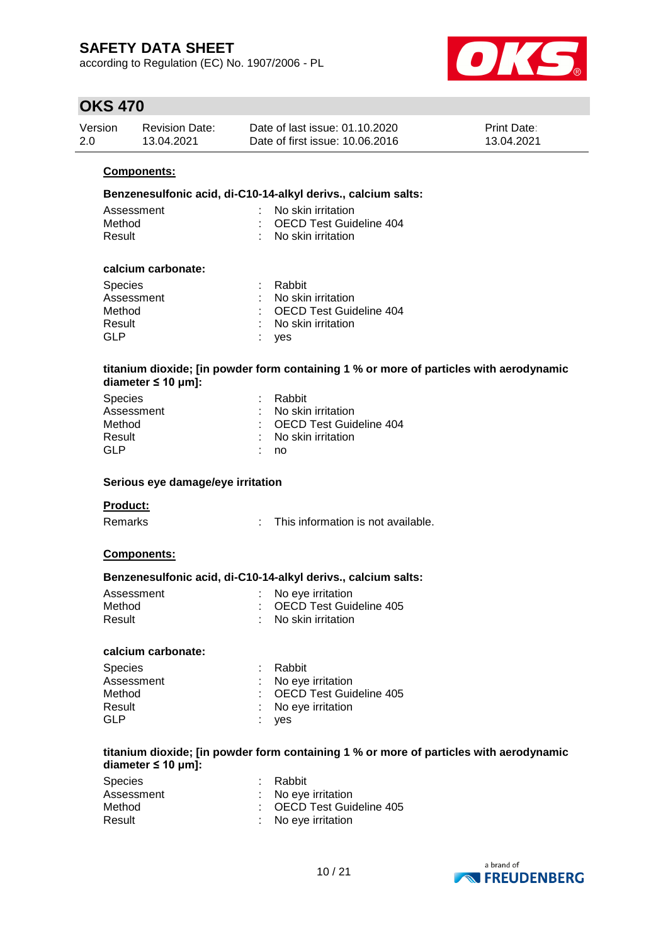according to Regulation (EC) No. 1907/2006 - PL



## **OKS 470**

| Version | Revision Date: | Date of last issue: 01.10.2020  | <b>Print Date:</b> |
|---------|----------------|---------------------------------|--------------------|
| 2.0     | 13.04.2021     | Date of first issue: 10.06.2016 | 13.04.2021         |

#### **Components:**

#### **Benzenesulfonic acid, di-C10-14-alkyl derivs., calcium salts:**

| Assessment | $\therefore$ No skin irritation. |
|------------|----------------------------------|
| Method     | : OECD Test Guideline 404        |
| Result     | : No skin irritation             |

#### **calcium carbonate:**

| <b>Species</b> | : Rabbit                        |
|----------------|---------------------------------|
| Assessment     | $\therefore$ No skin irritation |
| Method         | : OECD Test Guideline 404       |
| Result         | : No skin irritation            |
| GLP            | : yes                           |

#### **titanium dioxide; [in powder form containing 1 % or more of particles with aerodynamic diameter ≤ 10 μm]:**

| : Rabbit                  |
|---------------------------|
| : No skin irritation      |
| : OECD Test Guideline 404 |
| : No skin irritation      |
| no                        |
|                           |

#### **Serious eye damage/eye irritation**

#### **Product:**

Remarks : This information is not available.

#### **Components:**

#### **Benzenesulfonic acid, di-C10-14-alkyl derivs., calcium salts:**

| Assessment | : No eye irritation       |
|------------|---------------------------|
| Method     | : OECD Test Guideline 405 |
| Result     | : No skin irritation      |

#### **calcium carbonate:**

| <b>Species</b> | : Rabbit                  |
|----------------|---------------------------|
| Assessment     | : No eye irritation       |
| Method         | : OECD Test Guideline 405 |
| Result         | : No eye irritation       |
| <b>GLP</b>     | : yes                     |

#### **titanium dioxide; [in powder form containing 1 % or more of particles with aerodynamic diameter ≤ 10 μm]:**

| <b>Species</b> | : Rabbit                  |
|----------------|---------------------------|
| Assessment     | : No eve irritation       |
| Method         | : OECD Test Guideline 405 |
| Result         | : No eye irritation       |

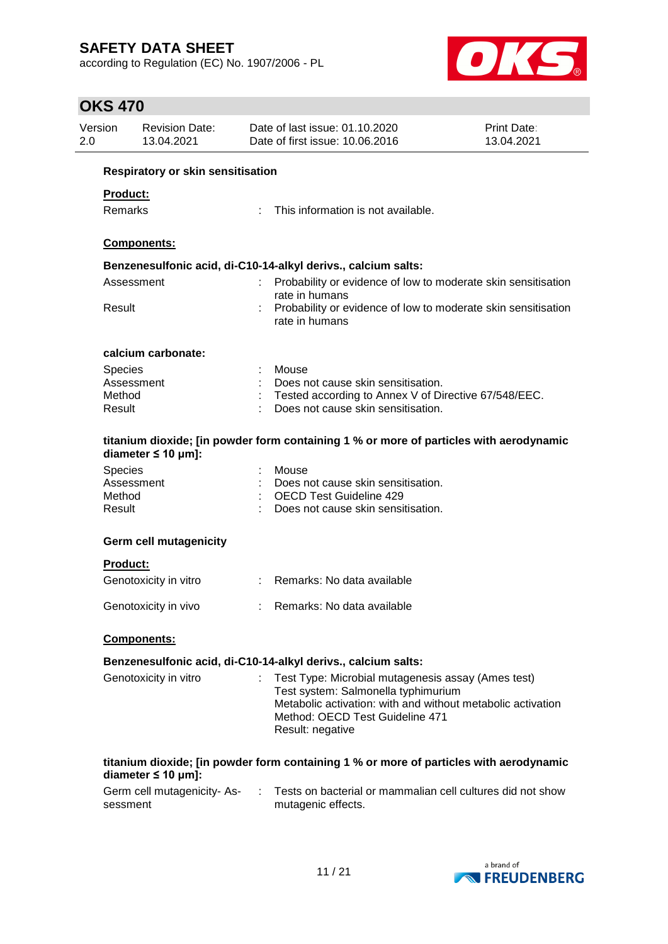according to Regulation (EC) No. 1907/2006 - PL



## **OKS 470**

| Version<br>2.0 |                                                                                                                                              | <b>Revision Date:</b><br>13.04.2021 | Date of last issue: 01.10.2020<br>Date of first issue: 10.06.2016                      | Print Date:<br>13.04.2021 |
|----------------|----------------------------------------------------------------------------------------------------------------------------------------------|-------------------------------------|----------------------------------------------------------------------------------------|---------------------------|
|                |                                                                                                                                              | Respiratory or skin sensitisation   |                                                                                        |                           |
|                | <b>Product:</b>                                                                                                                              |                                     |                                                                                        |                           |
|                |                                                                                                                                              |                                     | This information is not available.                                                     |                           |
|                | Remarks<br><b>Components:</b><br>Benzenesulfonic acid, di-C10-14-alkyl derivs., calcium salts:<br>Assessment<br>Result<br>calcium carbonate: |                                     |                                                                                        |                           |
|                |                                                                                                                                              |                                     |                                                                                        |                           |
|                |                                                                                                                                              |                                     |                                                                                        |                           |
|                |                                                                                                                                              |                                     | Probability or evidence of low to moderate skin sensitisation<br>rate in humans        |                           |
|                |                                                                                                                                              |                                     | Probability or evidence of low to moderate skin sensitisation<br>rate in humans        |                           |
|                |                                                                                                                                              |                                     |                                                                                        |                           |
|                | Species                                                                                                                                      |                                     | Mouse                                                                                  |                           |
|                | Assessment                                                                                                                                   |                                     | Does not cause skin sensitisation.                                                     |                           |
|                | Method                                                                                                                                       |                                     | Tested according to Annex V of Directive 67/548/EEC.                                   |                           |
|                | Result                                                                                                                                       |                                     | Does not cause skin sensitisation.                                                     |                           |
|                | diameter $\leq 10$ µm]:                                                                                                                      |                                     | titanium dioxide; [in powder form containing 1 % or more of particles with aerodynamic |                           |
|                | Species                                                                                                                                      |                                     | Mouse                                                                                  |                           |
|                | Assessment                                                                                                                                   |                                     | Does not cause skin sensitisation.                                                     |                           |
|                | Method                                                                                                                                       |                                     | <b>OECD Test Guideline 429</b>                                                         |                           |
|                | Result                                                                                                                                       |                                     | Does not cause skin sensitisation.                                                     |                           |
|                |                                                                                                                                              | <b>Germ cell mutagenicity</b>       |                                                                                        |                           |
|                | <b>Product:</b>                                                                                                                              |                                     |                                                                                        |                           |
|                |                                                                                                                                              | Genotoxicity in vitro               | : Remarks: No data available                                                           |                           |
|                |                                                                                                                                              |                                     |                                                                                        |                           |
|                |                                                                                                                                              | Genotoxicity in vivo                | Remarks: No data available                                                             |                           |
|                |                                                                                                                                              | <b>Components:</b>                  |                                                                                        |                           |
|                |                                                                                                                                              |                                     | Benzenesulfonic acid, di-C10-14-alkyl derivs., calcium salts:                          |                           |
|                |                                                                                                                                              | Genotoxicity in vitro               | Test Type: Microbial mutagenesis assay (Ames test)                                     |                           |
|                |                                                                                                                                              |                                     | Test system: Salmonella typhimurium                                                    |                           |
|                |                                                                                                                                              |                                     | Metabolic activation: with and without metabolic activation                            |                           |
|                |                                                                                                                                              |                                     | Method: OECD Test Guideline 471                                                        |                           |
|                |                                                                                                                                              |                                     | Result: negative                                                                       |                           |
|                |                                                                                                                                              |                                     |                                                                                        |                           |
|                |                                                                                                                                              | diameter $\leq 10$ µm]:             | titanium dioxide; [in powder form containing 1 % or more of particles with aerodynamic |                           |
|                |                                                                                                                                              | Germ cell mutagenicity- As-         | Tests on bacterial or mammalian cell cultures did not show                             |                           |
|                | sessment                                                                                                                                     |                                     | mutagenic effects.                                                                     |                           |
|                |                                                                                                                                              |                                     |                                                                                        |                           |

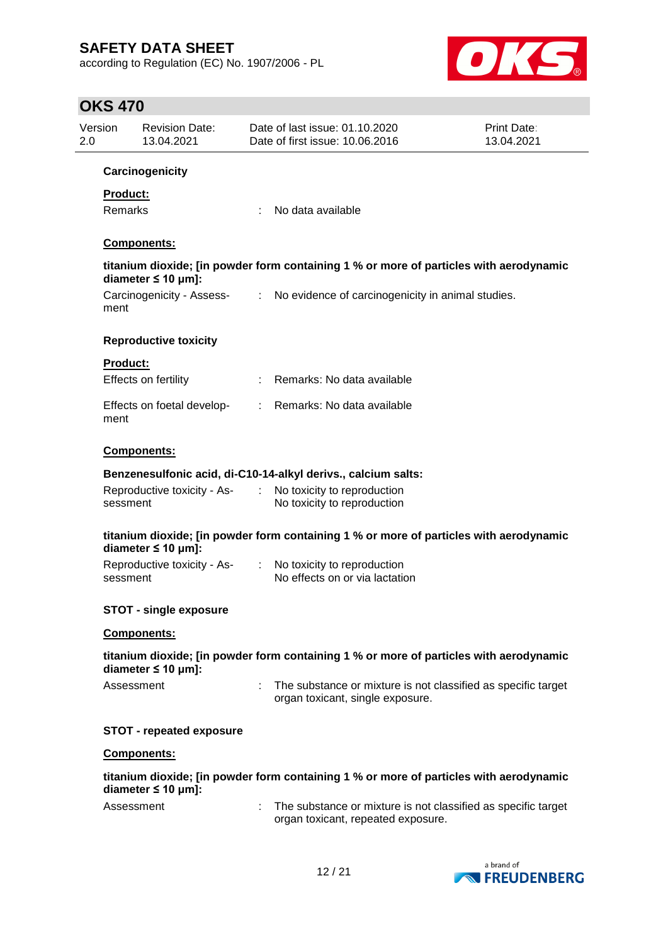according to Regulation (EC) No. 1907/2006 - PL



# **OKS 470**

| Version<br>2.0 |                 | <b>Revision Date:</b><br>13.04.2021 |                             | Date of last issue: 01.10.2020<br>Date of first issue: 10.06.2016                                   | Print Date:<br>13.04.2021 |
|----------------|-----------------|-------------------------------------|-----------------------------|-----------------------------------------------------------------------------------------------------|---------------------------|
|                |                 | Carcinogenicity                     |                             |                                                                                                     |                           |
|                | Product:        |                                     |                             |                                                                                                     |                           |
|                | <b>Remarks</b>  |                                     | ÷                           | No data available                                                                                   |                           |
|                |                 | Components:                         |                             |                                                                                                     |                           |
|                |                 |                                     |                             |                                                                                                     |                           |
|                |                 | diameter $\leq 10$ µm]:             |                             | titanium dioxide; [in powder form containing 1 % or more of particles with aerodynamic              |                           |
|                | ment            | Carcinogenicity - Assess-           | ÷.                          | No evidence of carcinogenicity in animal studies.                                                   |                           |
|                |                 | <b>Reproductive toxicity</b>        |                             |                                                                                                     |                           |
|                | <b>Product:</b> |                                     |                             |                                                                                                     |                           |
|                |                 | Effects on fertility                |                             | Remarks: No data available                                                                          |                           |
|                | ment            | Effects on foetal develop-          | t.                          | Remarks: No data available                                                                          |                           |
|                |                 | Components:                         |                             |                                                                                                     |                           |
|                |                 |                                     |                             | Benzenesulfonic acid, di-C10-14-alkyl derivs., calcium salts:                                       |                           |
|                | sessment        | Reproductive toxicity - As-         | $\mathcal{I}^{\mathcal{I}}$ | No toxicity to reproduction<br>No toxicity to reproduction                                          |                           |
|                |                 | diameter $\leq 10$ µm]:             |                             | titanium dioxide; [in powder form containing 1 % or more of particles with aerodynamic              |                           |
|                | sessment        | Reproductive toxicity - As-         |                             | No toxicity to reproduction<br>No effects on or via lactation                                       |                           |
|                |                 | <b>STOT - single exposure</b>       |                             |                                                                                                     |                           |
|                |                 | Components:                         |                             |                                                                                                     |                           |
|                |                 | diameter $\leq 10$ µm]:             |                             | titanium dioxide; [in powder form containing 1 % or more of particles with aerodynamic              |                           |
|                | Assessment      |                                     |                             | The substance or mixture is not classified as specific target<br>organ toxicant, single exposure.   |                           |
|                |                 | <b>STOT - repeated exposure</b>     |                             |                                                                                                     |                           |
|                |                 | Components:                         |                             |                                                                                                     |                           |
|                |                 | diameter $\leq 10$ µm]:             |                             | titanium dioxide; [in powder form containing 1 % or more of particles with aerodynamic              |                           |
|                | Assessment      |                                     |                             | The substance or mixture is not classified as specific target<br>organ toxicant, repeated exposure. |                           |

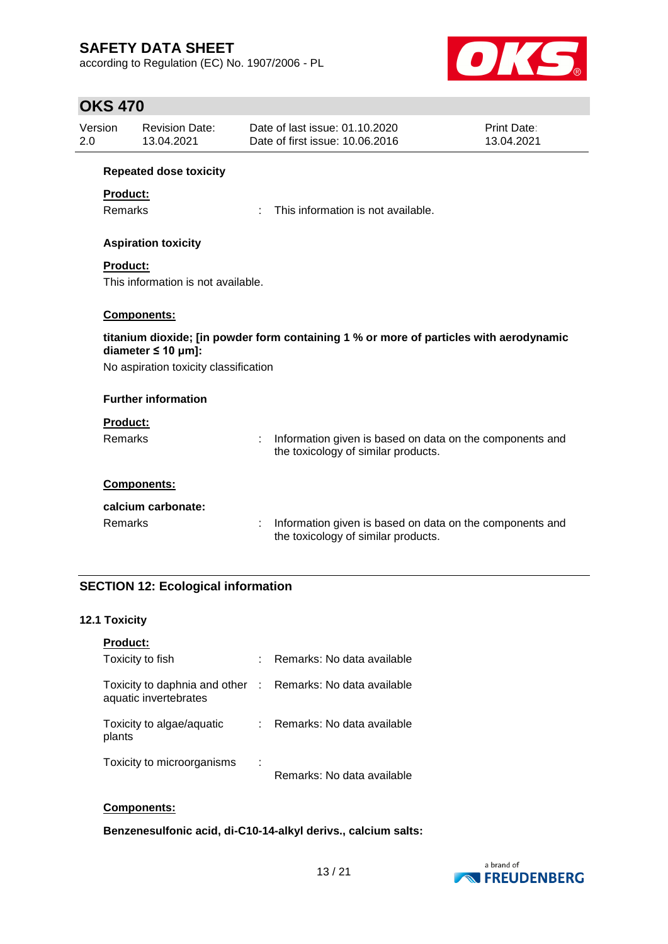according to Regulation (EC) No. 1907/2006 - PL



## **OKS 470**

| Version<br>2.0                                                                                                    |                                       | <b>Revision Date:</b><br>13.04.2021 |   | Date of last issue: 01.10.2020<br>Date of first issue: 10.06.2016                               | Print Date:<br>13.04.2021 |  |
|-------------------------------------------------------------------------------------------------------------------|---------------------------------------|-------------------------------------|---|-------------------------------------------------------------------------------------------------|---------------------------|--|
|                                                                                                                   |                                       | <b>Repeated dose toxicity</b>       |   |                                                                                                 |                           |  |
|                                                                                                                   | <b>Product:</b>                       |                                     |   |                                                                                                 |                           |  |
|                                                                                                                   | Remarks                               |                                     |   | This information is not available.                                                              |                           |  |
|                                                                                                                   |                                       | <b>Aspiration toxicity</b>          |   |                                                                                                 |                           |  |
|                                                                                                                   | <b>Product:</b>                       |                                     |   |                                                                                                 |                           |  |
|                                                                                                                   |                                       | This information is not available.  |   |                                                                                                 |                           |  |
| Components:                                                                                                       |                                       |                                     |   |                                                                                                 |                           |  |
| titanium dioxide; [in powder form containing 1 % or more of particles with aerodynamic<br>diameter $\leq 10$ µm]: |                                       |                                     |   |                                                                                                 |                           |  |
|                                                                                                                   | No aspiration toxicity classification |                                     |   |                                                                                                 |                           |  |
|                                                                                                                   |                                       | <b>Further information</b>          |   |                                                                                                 |                           |  |
|                                                                                                                   | <b>Product:</b>                       |                                     |   |                                                                                                 |                           |  |
|                                                                                                                   | Remarks                               |                                     | ÷ | Information given is based on data on the components and<br>the toxicology of similar products. |                           |  |
|                                                                                                                   |                                       | Components:                         |   |                                                                                                 |                           |  |
|                                                                                                                   |                                       | calcium carbonate:                  |   |                                                                                                 |                           |  |
|                                                                                                                   | Remarks                               |                                     |   | Information given is based on data on the components and<br>the toxicology of similar products. |                           |  |

### **SECTION 12: Ecological information**

### **12.1 Toxicity**

| <b>Product:</b>                                        |                |                            |
|--------------------------------------------------------|----------------|----------------------------|
| Toxicity to fish                                       |                | Remarks: No data available |
| Toxicity to daphnia and other<br>aquatic invertebrates | $\sim 10^{-1}$ | Remarks: No data available |
| Toxicity to algae/aquatic<br>plants                    |                | Remarks: No data available |
| Toxicity to microorganisms                             | ٠              | Remarks: No data available |

#### **Components:**

**Benzenesulfonic acid, di-C10-14-alkyl derivs., calcium salts:**

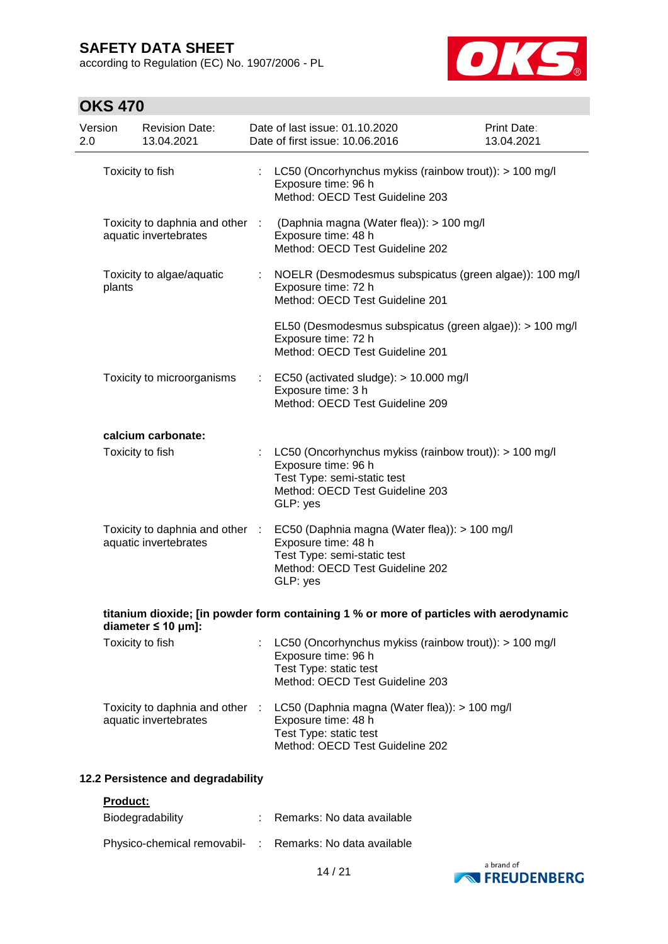according to Regulation (EC) No. 1907/2006 - PL



# **OKS 470**

| Version<br>2.0 | <b>Revision Date:</b><br>13.04.2021                      |    | Date of last issue: 01.10.2020<br>Date of first issue: 10.06.2016                                                                                           | Print Date:<br>13.04.2021 |
|----------------|----------------------------------------------------------|----|-------------------------------------------------------------------------------------------------------------------------------------------------------------|---------------------------|
|                | Toxicity to fish                                         |    | LC50 (Oncorhynchus mykiss (rainbow trout)): > 100 mg/l<br>Exposure time: 96 h<br>Method: OECD Test Guideline 203                                            |                           |
|                | aquatic invertebrates                                    |    | Toxicity to daphnia and other : (Daphnia magna (Water flea)): > 100 mg/l<br>Exposure time: 48 h<br>Method: OECD Test Guideline 202                          |                           |
| plants         | Toxicity to algae/aquatic                                | ÷  | NOELR (Desmodesmus subspicatus (green algae)): 100 mg/l<br>Exposure time: 72 h<br>Method: OECD Test Guideline 201                                           |                           |
|                |                                                          |    | EL50 (Desmodesmus subspicatus (green algae)): > 100 mg/l<br>Exposure time: 72 h<br>Method: OECD Test Guideline 201                                          |                           |
|                | Toxicity to microorganisms                               | ÷. | EC50 (activated sludge): > 10.000 mg/l<br>Exposure time: 3 h<br>Method: OECD Test Guideline 209                                                             |                           |
|                | calcium carbonate:                                       |    |                                                                                                                                                             |                           |
|                | Toxicity to fish                                         | ÷  | LC50 (Oncorhynchus mykiss (rainbow trout)): > 100 mg/l<br>Exposure time: 96 h<br>Test Type: semi-static test<br>Method: OECD Test Guideline 203<br>GLP: yes |                           |
|                | Toxicity to daphnia and other :<br>aquatic invertebrates |    | EC50 (Daphnia magna (Water flea)): > 100 mg/l<br>Exposure time: 48 h<br>Test Type: semi-static test<br>Method: OECD Test Guideline 202<br>GLP: yes          |                           |
|                | diameter $\leq 10$ µm]:                                  |    | titanium dioxide; [in powder form containing 1 % or more of particles with aerodynamic                                                                      |                           |
|                | Toxicity to fish                                         |    | LC50 (Oncorhynchus mykiss (rainbow trout)): > 100 mg/l<br>Exposure time: 96 h<br>Test Type: static test<br>Method: OECD Test Guideline 203                  |                           |
|                | Toxicity to daphnia and other :<br>aquatic invertebrates |    | LC50 (Daphnia magna (Water flea)): > 100 mg/l<br>Exposure time: 48 h<br>Test Type: static test<br>Method: OECD Test Guideline 202                           |                           |

### **12.2 Persistence and degradability**

#### **Product:**

| Biodegradability                                         | : Remarks: No data available |
|----------------------------------------------------------|------------------------------|
| Physico-chemical removabil- : Remarks: No data available |                              |

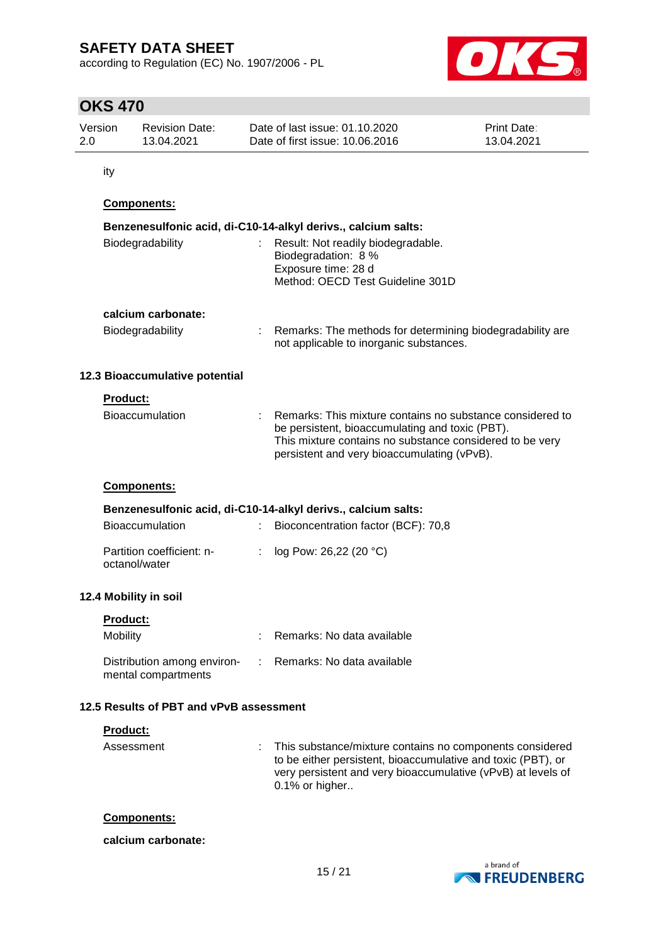according to Regulation (EC) No. 1907/2006 - PL



## **OKS 470**

| Version | <b>Revision Date:</b> | Date of last issue: 01.10.2020  | <b>Print Date:</b> |
|---------|-----------------------|---------------------------------|--------------------|
| 2.0     | 13.04.2021            | Date of first issue: 10.06.2016 | 13.04.2021         |

ity

### **Components:**

|                 | Benzenesulfonic acid, di-C10-14-alkyl derivs., calcium salts: |  |                                                                                                                                                                                                                           |  |  |  |  |
|-----------------|---------------------------------------------------------------|--|---------------------------------------------------------------------------------------------------------------------------------------------------------------------------------------------------------------------------|--|--|--|--|
|                 | Biodegradability                                              |  | : Result: Not readily biodegradable.<br>Biodegradation: 8 %<br>Exposure time: 28 d<br>Method: OECD Test Guideline 301D                                                                                                    |  |  |  |  |
|                 | calcium carbonate:                                            |  |                                                                                                                                                                                                                           |  |  |  |  |
|                 | Biodegradability                                              |  | : Remarks: The methods for determining biodegradability are<br>not applicable to inorganic substances.                                                                                                                    |  |  |  |  |
|                 | 12.3 Bioaccumulative potential                                |  |                                                                                                                                                                                                                           |  |  |  |  |
| <b>Product:</b> |                                                               |  |                                                                                                                                                                                                                           |  |  |  |  |
|                 | <b>Bioaccumulation</b>                                        |  | : Remarks: This mixture contains no substance considered to<br>be persistent, bioaccumulating and toxic (PBT).<br>This mixture contains no substance considered to be very<br>persistent and very bioaccumulating (vPvB). |  |  |  |  |
|                 | <b>Components:</b>                                            |  |                                                                                                                                                                                                                           |  |  |  |  |
|                 | Benzenesulfonic acid, di-C10-14-alkyl derivs., calcium salts: |  |                                                                                                                                                                                                                           |  |  |  |  |

| <b>Bioaccumulation</b>                     | : Bioconcentration factor (BCF): 70,8 |
|--------------------------------------------|---------------------------------------|
| Partition coefficient: n-<br>octanol/water | : $log Pow: 26,22 (20 °C)$            |

### **12.4 Mobility in soil**

| <b>Product:</b>                                    |                              |
|----------------------------------------------------|------------------------------|
| Mobility                                           | Remarks: No data available   |
| Distribution among environ-<br>mental compartments | : Remarks: No data available |

### **12.5 Results of PBT and vPvB assessment**

#### **Product:**

Assessment : This substance/mixture contains no components considered to be either persistent, bioaccumulative and toxic (PBT), or very persistent and very bioaccumulative (vPvB) at levels of 0.1% or higher..

#### **Components:**

#### **calcium carbonate:**

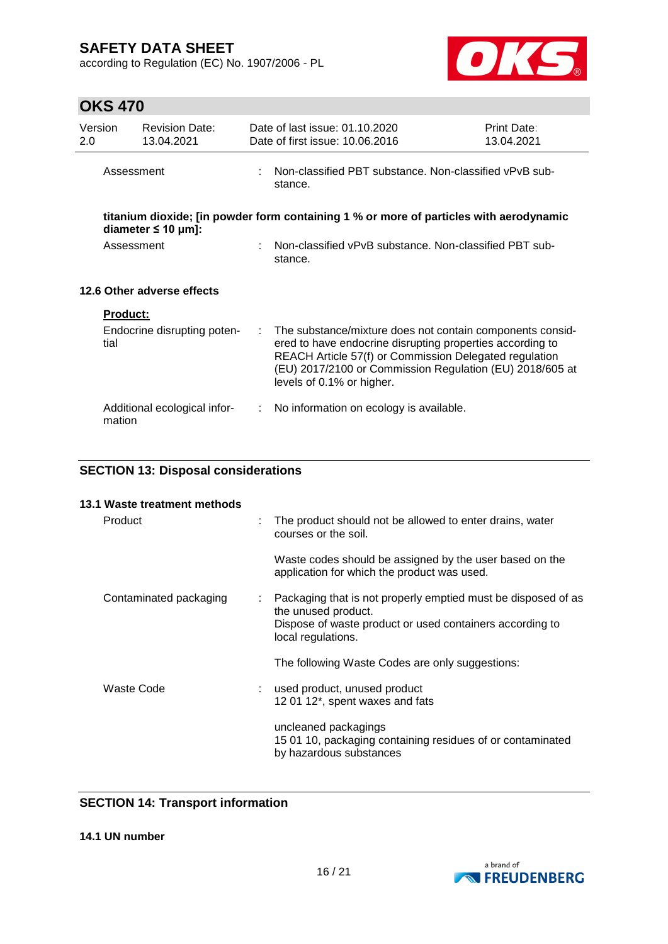according to Regulation (EC) No. 1907/2006 - PL



## **OKS 470**

| Version<br>2.0             |                 | <b>Revision Date:</b><br>13.04.2021 |                                                                     | Date of last issue: 01.10.2020<br>Date of first issue: 10.06.2016                                                                                                                                                                                                         | Print Date:<br>13.04.2021 |  |  |
|----------------------------|-----------------|-------------------------------------|---------------------------------------------------------------------|---------------------------------------------------------------------------------------------------------------------------------------------------------------------------------------------------------------------------------------------------------------------------|---------------------------|--|--|
|                            | Assessment      |                                     | : Non-classified PBT substance. Non-classified vPvB sub-<br>stance. |                                                                                                                                                                                                                                                                           |                           |  |  |
|                            |                 | diameter $\leq 10 \mu m$ ]:         |                                                                     | titanium dioxide; [in powder form containing 1 % or more of particles with aerodynamic                                                                                                                                                                                    |                           |  |  |
|                            | Assessment      |                                     |                                                                     | Non-classified vPvB substance. Non-classified PBT sub-<br>stance.                                                                                                                                                                                                         |                           |  |  |
| 12.6 Other adverse effects |                 |                                     |                                                                     |                                                                                                                                                                                                                                                                           |                           |  |  |
|                            | <b>Product:</b> |                                     |                                                                     |                                                                                                                                                                                                                                                                           |                           |  |  |
|                            | tial            | Endocrine disrupting poten-         | ÷.                                                                  | The substance/mixture does not contain components consid-<br>ered to have endocrine disrupting properties according to<br>REACH Article 57(f) or Commission Delegated regulation<br>(EU) 2017/2100 or Commission Regulation (EU) 2018/605 at<br>levels of 0.1% or higher. |                           |  |  |
|                            | mation          | Additional ecological infor-        | ÷.                                                                  | No information on ecology is available.                                                                                                                                                                                                                                   |                           |  |  |

## **SECTION 13: Disposal considerations**

|   | The product should not be allowed to enter drains, water<br>courses or the soil.                                                                                       |
|---|------------------------------------------------------------------------------------------------------------------------------------------------------------------------|
|   | Waste codes should be assigned by the user based on the<br>application for which the product was used.                                                                 |
| ÷ | Packaging that is not properly emptied must be disposed of as<br>the unused product.<br>Dispose of waste product or used containers according to<br>local regulations. |
|   | The following Waste Codes are only suggestions:                                                                                                                        |
|   | used product, unused product<br>12 01 12*, spent waxes and fats                                                                                                        |
|   | uncleaned packagings<br>15 01 10, packaging containing residues of or contaminated<br>by hazardous substances                                                          |
|   |                                                                                                                                                                        |

### **SECTION 14: Transport information**

**14.1 UN number**

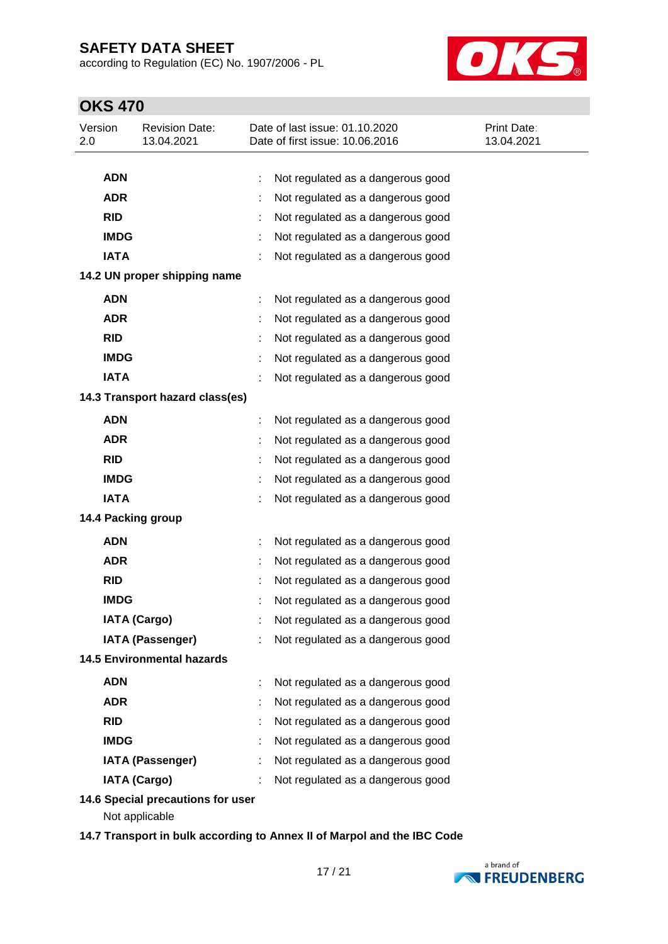according to Regulation (EC) No. 1907/2006 - PL



# **OKS 470**

| Version<br>2.0 | <b>Revision Date:</b><br>13.04.2021                 | Date of last issue: 01.10.2020<br>Date of first issue: 10.06.2016 | <b>Print Date:</b><br>13.04.2021 |
|----------------|-----------------------------------------------------|-------------------------------------------------------------------|----------------------------------|
|                |                                                     |                                                                   |                                  |
| <b>ADN</b>     |                                                     | Not regulated as a dangerous good                                 |                                  |
| <b>ADR</b>     |                                                     | Not regulated as a dangerous good                                 |                                  |
| <b>RID</b>     |                                                     | Not regulated as a dangerous good                                 |                                  |
|                | <b>IMDG</b>                                         | Not regulated as a dangerous good                                 |                                  |
| <b>IATA</b>    |                                                     | Not regulated as a dangerous good                                 |                                  |
|                | 14.2 UN proper shipping name                        |                                                                   |                                  |
| <b>ADN</b>     |                                                     | Not regulated as a dangerous good                                 |                                  |
| <b>ADR</b>     |                                                     | Not regulated as a dangerous good                                 |                                  |
| <b>RID</b>     |                                                     | Not regulated as a dangerous good                                 |                                  |
|                | <b>IMDG</b>                                         | Not regulated as a dangerous good                                 |                                  |
| <b>IATA</b>    |                                                     | Not regulated as a dangerous good                                 |                                  |
|                | 14.3 Transport hazard class(es)                     |                                                                   |                                  |
| <b>ADN</b>     |                                                     | Not regulated as a dangerous good                                 |                                  |
| <b>ADR</b>     |                                                     | Not regulated as a dangerous good                                 |                                  |
| <b>RID</b>     |                                                     | Not regulated as a dangerous good                                 |                                  |
|                | <b>IMDG</b>                                         | Not regulated as a dangerous good                                 |                                  |
| <b>IATA</b>    |                                                     | Not regulated as a dangerous good                                 |                                  |
|                | 14.4 Packing group                                  |                                                                   |                                  |
| <b>ADN</b>     |                                                     | Not regulated as a dangerous good                                 |                                  |
| <b>ADR</b>     |                                                     | Not regulated as a dangerous good                                 |                                  |
| <b>RID</b>     |                                                     | Not regulated as a dangerous good                                 |                                  |
|                | <b>IMDG</b>                                         | Not regulated as a dangerous good                                 |                                  |
|                | <b>IATA (Cargo)</b>                                 | Not regulated as a dangerous good                                 |                                  |
|                | <b>IATA (Passenger)</b>                             | Not regulated as a dangerous good                                 |                                  |
|                | <b>14.5 Environmental hazards</b>                   |                                                                   |                                  |
| <b>ADN</b>     |                                                     | Not regulated as a dangerous good                                 |                                  |
| <b>ADR</b>     |                                                     | Not regulated as a dangerous good                                 |                                  |
| <b>RID</b>     |                                                     | Not regulated as a dangerous good                                 |                                  |
|                | <b>IMDG</b>                                         | Not regulated as a dangerous good                                 |                                  |
|                | <b>IATA (Passenger)</b>                             | Not regulated as a dangerous good                                 |                                  |
|                | <b>IATA (Cargo)</b>                                 | Not regulated as a dangerous good                                 |                                  |
|                | 14.6 Special precautions for user<br>Not applicable |                                                                   |                                  |

**14.7 Transport in bulk according to Annex II of Marpol and the IBC Code**

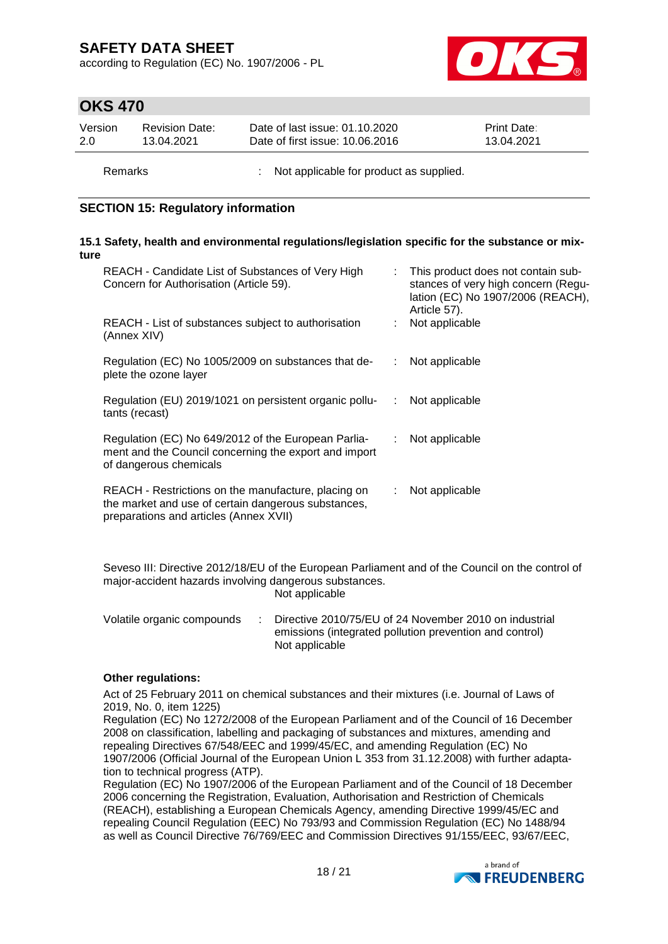according to Regulation (EC) No. 1907/2006 - PL



## **OKS 470**

| Version | <b>Revision Date:</b> | Date of last issue: 01.10.2020  | <b>Print Date:</b> |
|---------|-----------------------|---------------------------------|--------------------|
| 2.0     | 13.04.2021            | Date of first issue: 10.06.2016 | 13.04.2021         |
|         |                       |                                 |                    |

Remarks : Not applicable for product as supplied.

### **SECTION 15: Regulatory information**

#### **15.1 Safety, health and environmental regulations/legislation specific for the substance or mixture**

|                                                                                                                                                                        | This product does not contain sub-<br>stances of very high concern (Regu-<br>lation (EC) No 1907/2006 (REACH), |
|------------------------------------------------------------------------------------------------------------------------------------------------------------------------|----------------------------------------------------------------------------------------------------------------|
| REACH - List of substances subject to authorisation<br>Not applicable<br>(Annex XIV)                                                                                   |                                                                                                                |
| Regulation (EC) No 1005/2009 on substances that de-<br>Not applicable<br>plete the ozone layer                                                                         |                                                                                                                |
| Regulation (EU) 2019/1021 on persistent organic pollu-<br>Not applicable<br>÷.<br>tants (recast)                                                                       |                                                                                                                |
| Regulation (EC) No 649/2012 of the European Parlia-<br>Not applicable<br>÷.<br>ment and the Council concerning the export and import<br>of dangerous chemicals         |                                                                                                                |
| REACH - Restrictions on the manufacture, placing on<br>Not applicable<br>the market and use of certain dangerous substances,<br>preparations and articles (Annex XVII) |                                                                                                                |

Seveso III: Directive 2012/18/EU of the European Parliament and of the Council on the control of major-accident hazards involving dangerous substances. Not applicable

Volatile organic compounds : Directive 2010/75/EU of 24 November 2010 on industrial emissions (integrated pollution prevention and control) Not applicable

#### **Other regulations:**

Act of 25 February 2011 on chemical substances and their mixtures (i.e. Journal of Laws of 2019, No. 0, item 1225)

Regulation (EC) No 1272/2008 of the European Parliament and of the Council of 16 December 2008 on classification, labelling and packaging of substances and mixtures, amending and repealing Directives 67/548/EEC and 1999/45/EC, and amending Regulation (EC) No 1907/2006 (Official Journal of the European Union L 353 from 31.12.2008) with further adaptation to technical progress (ATP).

Regulation (EC) No 1907/2006 of the European Parliament and of the Council of 18 December 2006 concerning the Registration, Evaluation, Authorisation and Restriction of Chemicals (REACH), establishing a European Chemicals Agency, amending Directive 1999/45/EC and repealing Council Regulation (EEC) No 793/93 and Commission Regulation (EC) No 1488/94 as well as Council Directive 76/769/EEC and Commission Directives 91/155/EEC, 93/67/EEC,

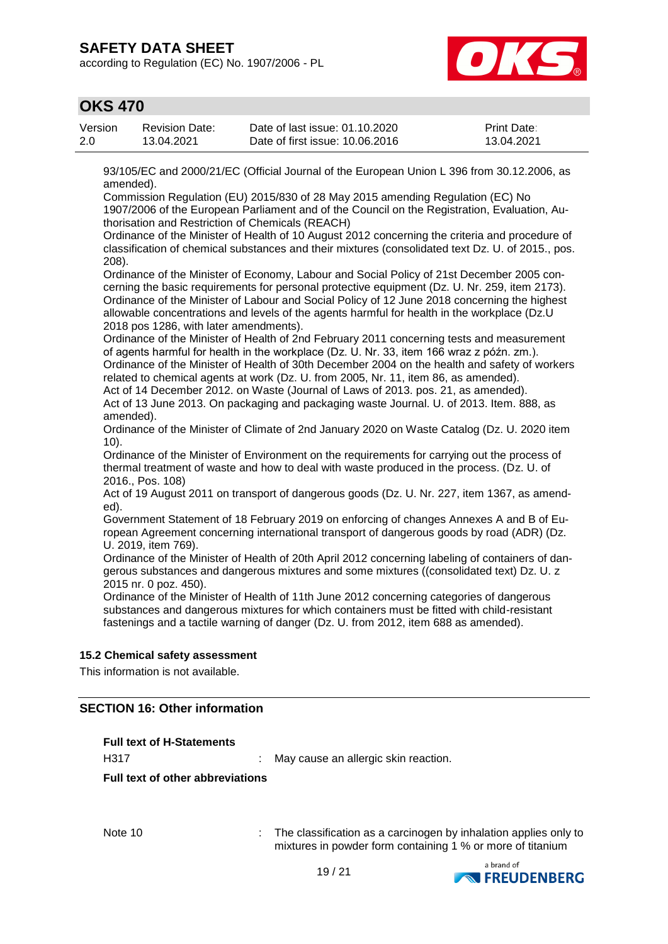according to Regulation (EC) No. 1907/2006 - PL



## **OKS 470**

| Version | <b>Revision Date:</b> | Date of last issue: 01.10.2020  | <b>Print Date:</b> |
|---------|-----------------------|---------------------------------|--------------------|
| 2.0     | 13.04.2021            | Date of first issue: 10.06.2016 | 13.04.2021         |

93/105/EC and 2000/21/EC (Official Journal of the European Union L 396 from 30.12.2006, as amended).

Commission Regulation (EU) 2015/830 of 28 May 2015 amending Regulation (EC) No 1907/2006 of the European Parliament and of the Council on the Registration, Evaluation, Authorisation and Restriction of Chemicals (REACH)

Ordinance of the Minister of Health of 10 August 2012 concerning the criteria and procedure of classification of chemical substances and their mixtures (consolidated text Dz. U. of 2015., pos. 208).

Ordinance of the Minister of Economy, Labour and Social Policy of 21st December 2005 concerning the basic requirements for personal protective equipment (Dz. U. Nr. 259, item 2173). Ordinance of the Minister of Labour and Social Policy of 12 June 2018 concerning the highest allowable concentrations and levels of the agents harmful for health in the workplace (Dz.U 2018 pos 1286, with later amendments).

Ordinance of the Minister of Health of 2nd February 2011 concerning tests and measurement of agents harmful for health in the workplace (Dz. U. Nr. 33, item 166 wraz z późn. zm.). Ordinance of the Minister of Health of 30th December 2004 on the health and safety of workers related to chemical agents at work (Dz. U. from 2005, Nr. 11, item 86, as amended).

Act of 14 December 2012. on Waste (Journal of Laws of 2013. pos. 21, as amended). Act of 13 June 2013. On packaging and packaging waste Journal. U. of 2013. Item. 888, as amended).

Ordinance of the Minister of Climate of 2nd January 2020 on Waste Catalog (Dz. U. 2020 item 10).

Ordinance of the Minister of Environment on the requirements for carrying out the process of thermal treatment of waste and how to deal with waste produced in the process. (Dz. U. of 2016., Pos. 108)

Act of 19 August 2011 on transport of dangerous goods (Dz. U. Nr. 227, item 1367, as amended).

Government Statement of 18 February 2019 on enforcing of changes Annexes A and B of European Agreement concerning international transport of dangerous goods by road (ADR) (Dz. U. 2019, item 769).

Ordinance of the Minister of Health of 20th April 2012 concerning labeling of containers of dangerous substances and dangerous mixtures and some mixtures ((consolidated text) Dz. U. z 2015 nr. 0 poz. 450).

Ordinance of the Minister of Health of 11th June 2012 concerning categories of dangerous substances and dangerous mixtures for which containers must be fitted with child-resistant fastenings and a tactile warning of danger (Dz. U. from 2012, item 688 as amended).

#### **15.2 Chemical safety assessment**

This information is not available.

### **SECTION 16: Other information**

| <b>Full text of H-Statements</b>        |                                            |
|-----------------------------------------|--------------------------------------------|
| H317                                    | May cause an allergic skin reaction.<br>t. |
| <b>Full text of other abbreviations</b> |                                            |
|                                         |                                            |
|                                         |                                            |
|                                         |                                            |
| .                                       | .                                          |

Note 10 : The classification as a carcinogen by inhalation applies only to mixtures in powder form containing 1 % or more of titanium

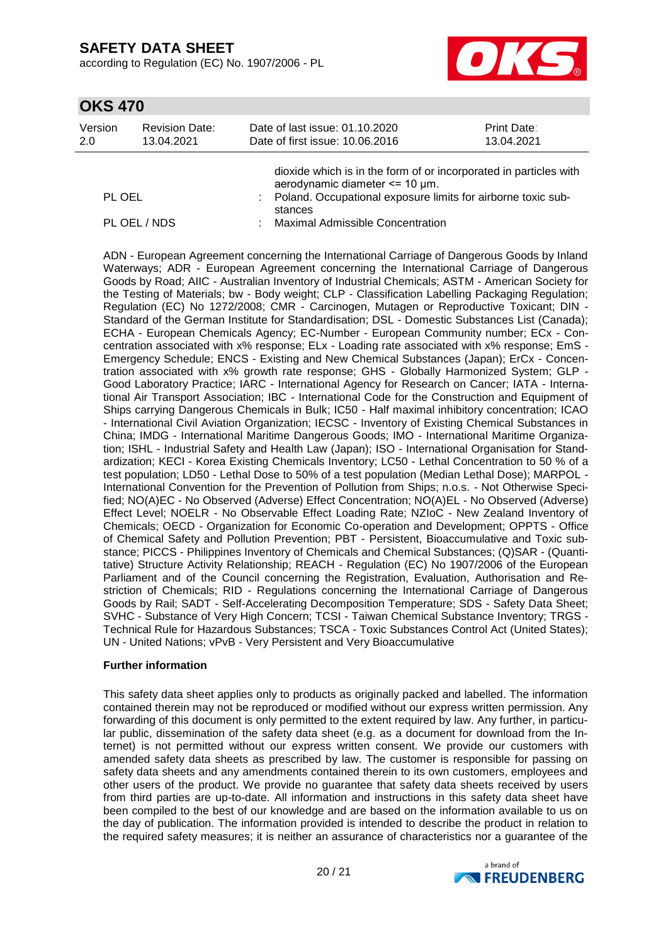according to Regulation (EC) No. 1907/2006 - PL



## **OKS 470**

| Version | <b>Revision Date:</b> | Date of last issue: 01.10.2020                                                                                                                                                 | <b>Print Date:</b> |
|---------|-----------------------|--------------------------------------------------------------------------------------------------------------------------------------------------------------------------------|--------------------|
| 2.0     | 13.04.2021            | Date of first issue: 10.06.2016                                                                                                                                                | 13.04.2021         |
| PL OEL  |                       | dioxide which is in the form of or incorporated in particles with<br>aerodynamic diameter <= 10 µm.<br>Poland. Occupational exposure limits for airborne toxic sub-<br>stances |                    |

PL OEL / NDS : Maximal Admissible Concentration

ADN - European Agreement concerning the International Carriage of Dangerous Goods by Inland Waterways; ADR - European Agreement concerning the International Carriage of Dangerous Goods by Road; AIIC - Australian Inventory of Industrial Chemicals; ASTM - American Society for the Testing of Materials; bw - Body weight; CLP - Classification Labelling Packaging Regulation; Regulation (EC) No 1272/2008; CMR - Carcinogen, Mutagen or Reproductive Toxicant; DIN - Standard of the German Institute for Standardisation; DSL - Domestic Substances List (Canada); ECHA - European Chemicals Agency; EC-Number - European Community number; ECx - Concentration associated with x% response; ELx - Loading rate associated with x% response; EmS - Emergency Schedule; ENCS - Existing and New Chemical Substances (Japan); ErCx - Concentration associated with x% growth rate response; GHS - Globally Harmonized System; GLP - Good Laboratory Practice; IARC - International Agency for Research on Cancer; IATA - International Air Transport Association; IBC - International Code for the Construction and Equipment of Ships carrying Dangerous Chemicals in Bulk; IC50 - Half maximal inhibitory concentration; ICAO - International Civil Aviation Organization; IECSC - Inventory of Existing Chemical Substances in China; IMDG - International Maritime Dangerous Goods; IMO - International Maritime Organization; ISHL - Industrial Safety and Health Law (Japan); ISO - International Organisation for Standardization; KECI - Korea Existing Chemicals Inventory; LC50 - Lethal Concentration to 50 % of a test population; LD50 - Lethal Dose to 50% of a test population (Median Lethal Dose); MARPOL - International Convention for the Prevention of Pollution from Ships; n.o.s. - Not Otherwise Specified; NO(A)EC - No Observed (Adverse) Effect Concentration; NO(A)EL - No Observed (Adverse) Effect Level; NOELR - No Observable Effect Loading Rate; NZIoC - New Zealand Inventory of Chemicals; OECD - Organization for Economic Co-operation and Development; OPPTS - Office of Chemical Safety and Pollution Prevention; PBT - Persistent, Bioaccumulative and Toxic substance; PICCS - Philippines Inventory of Chemicals and Chemical Substances; (Q)SAR - (Quantitative) Structure Activity Relationship; REACH - Regulation (EC) No 1907/2006 of the European Parliament and of the Council concerning the Registration, Evaluation, Authorisation and Restriction of Chemicals; RID - Regulations concerning the International Carriage of Dangerous Goods by Rail; SADT - Self-Accelerating Decomposition Temperature; SDS - Safety Data Sheet; SVHC - Substance of Very High Concern; TCSI - Taiwan Chemical Substance Inventory; TRGS - Technical Rule for Hazardous Substances; TSCA - Toxic Substances Control Act (United States); UN - United Nations; vPvB - Very Persistent and Very Bioaccumulative

#### **Further information**

This safety data sheet applies only to products as originally packed and labelled. The information contained therein may not be reproduced or modified without our express written permission. Any forwarding of this document is only permitted to the extent required by law. Any further, in particular public, dissemination of the safety data sheet (e.g. as a document for download from the Internet) is not permitted without our express written consent. We provide our customers with amended safety data sheets as prescribed by law. The customer is responsible for passing on safety data sheets and any amendments contained therein to its own customers, employees and other users of the product. We provide no guarantee that safety data sheets received by users from third parties are up-to-date. All information and instructions in this safety data sheet have been compiled to the best of our knowledge and are based on the information available to us on the day of publication. The information provided is intended to describe the product in relation to the required safety measures; it is neither an assurance of characteristics nor a guarantee of the